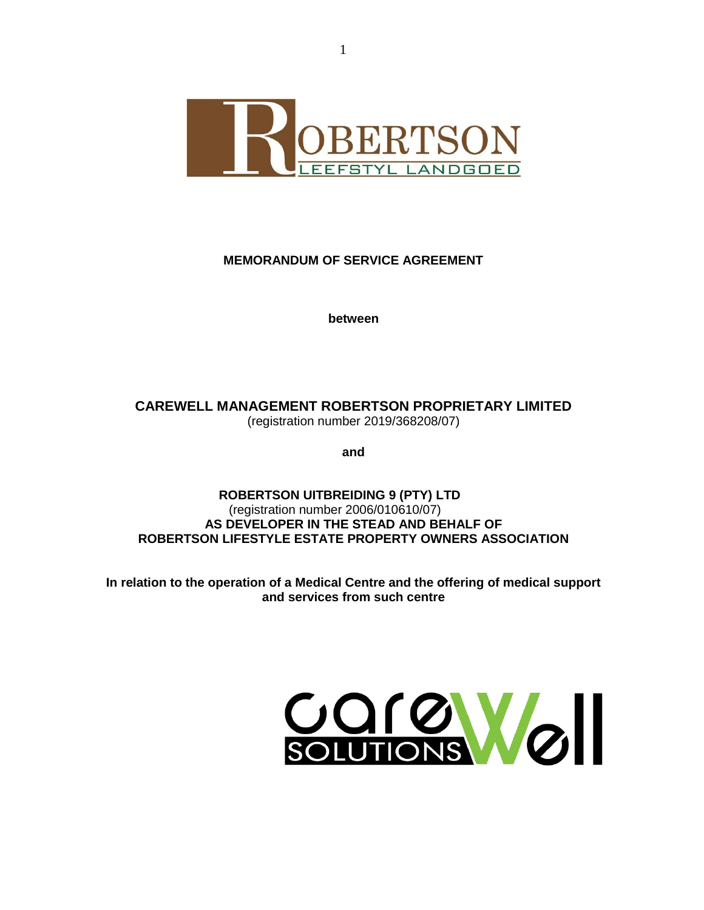

# **MEMORANDUM OF SERVICE AGREEMENT**

**between**

**CAREWELL MANAGEMENT ROBERTSON PROPRIETARY LIMITED** (registration number 2019/368208/07)

**and**

**ROBERTSON UITBREIDING 9 (PTY) LTD** (registration number 2006/010610/07) **AS DEVELOPER IN THE STEAD AND BEHALF OF ROBERTSON LIFESTYLE ESTATE PROPERTY OWNERS ASSOCIATION**

**In relation to the operation of a Medical Centre and the offering of medical support and services from such centre** 

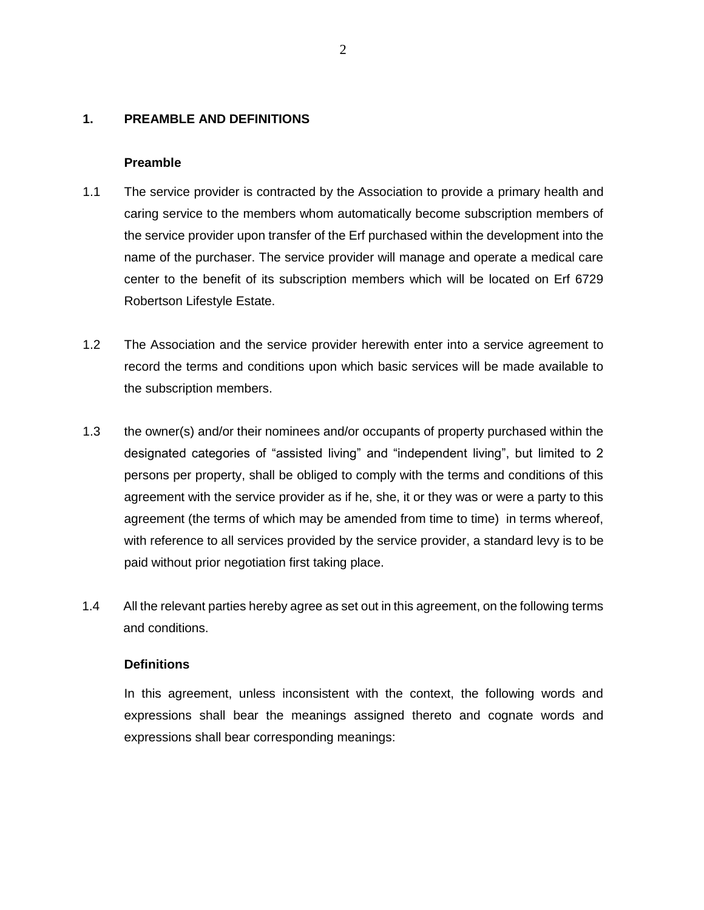### **1. PREAMBLE AND DEFINITIONS**

#### **Preamble**

- 1.1 The service provider is contracted by the Association to provide a primary health and caring service to the members whom automatically become subscription members of the service provider upon transfer of the Erf purchased within the development into the name of the purchaser. The service provider will manage and operate a medical care center to the benefit of its subscription members which will be located on Erf 6729 Robertson Lifestyle Estate.
- 1.2 The Association and the service provider herewith enter into a service agreement to record the terms and conditions upon which basic services will be made available to the subscription members.
- 1.3 the owner(s) and/or their nominees and/or occupants of property purchased within the designated categories of "assisted living" and "independent living", but limited to 2 persons per property, shall be obliged to comply with the terms and conditions of this agreement with the service provider as if he, she, it or they was or were a party to this agreement (the terms of which may be amended from time to time) in terms whereof, with reference to all services provided by the service provider, a standard levy is to be paid without prior negotiation first taking place.
- 1.4 All the relevant parties hereby agree as set out in this agreement, on the following terms and conditions.

### **Definitions**

In this agreement, unless inconsistent with the context, the following words and expressions shall bear the meanings assigned thereto and cognate words and expressions shall bear corresponding meanings: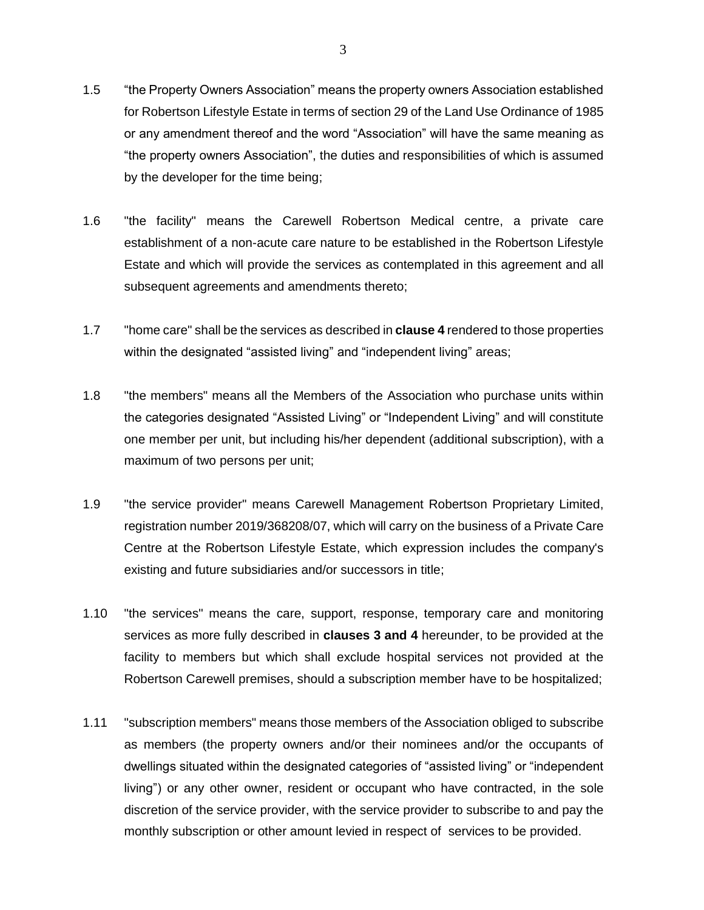- 1.5 "the Property Owners Association" means the property owners Association established for Robertson Lifestyle Estate in terms of section 29 of the Land Use Ordinance of 1985 or any amendment thereof and the word "Association" will have the same meaning as "the property owners Association", the duties and responsibilities of which is assumed by the developer for the time being;
- 1.6 "the facility" means the Carewell Robertson Medical centre, a private care establishment of a non-acute care nature to be established in the Robertson Lifestyle Estate and which will provide the services as contemplated in this agreement and all subsequent agreements and amendments thereto;
- 1.7 "home care" shall be the services as described in **clause 4** rendered to those properties within the designated "assisted living" and "independent living" areas;
- 1.8 "the members" means all the Members of the Association who purchase units within the categories designated "Assisted Living" or "Independent Living" and will constitute one member per unit, but including his/her dependent (additional subscription), with a maximum of two persons per unit;
- 1.9 "the service provider" means Carewell Management Robertson Proprietary Limited, registration number 2019/368208/07, which will carry on the business of a Private Care Centre at the Robertson Lifestyle Estate, which expression includes the company's existing and future subsidiaries and/or successors in title;
- 1.10 "the services" means the care, support, response, temporary care and monitoring services as more fully described in **clauses 3 and 4** hereunder, to be provided at the facility to members but which shall exclude hospital services not provided at the Robertson Carewell premises, should a subscription member have to be hospitalized;
- 1.11 "subscription members" means those members of the Association obliged to subscribe as members (the property owners and/or their nominees and/or the occupants of dwellings situated within the designated categories of "assisted living" or "independent living") or any other owner, resident or occupant who have contracted, in the sole discretion of the service provider, with the service provider to subscribe to and pay the monthly subscription or other amount levied in respect of services to be provided.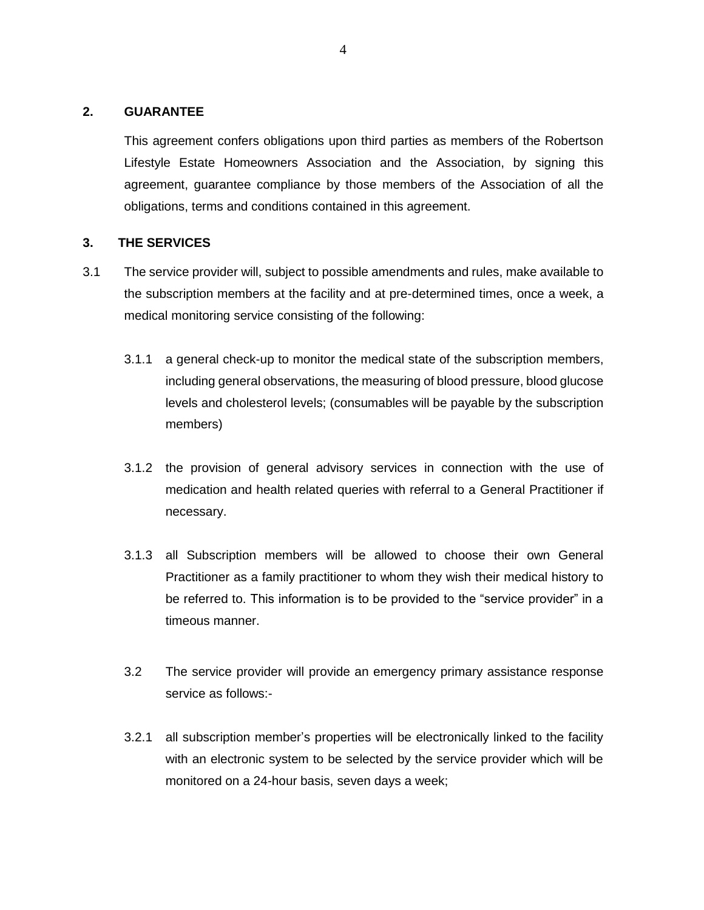### **2. GUARANTEE**

This agreement confers obligations upon third parties as members of the Robertson Lifestyle Estate Homeowners Association and the Association, by signing this agreement, guarantee compliance by those members of the Association of all the obligations, terms and conditions contained in this agreement.

## **3. THE SERVICES**

- 3.1 The service provider will, subject to possible amendments and rules, make available to the subscription members at the facility and at pre-determined times, once a week, a medical monitoring service consisting of the following:
	- 3.1.1 a general check-up to monitor the medical state of the subscription members, including general observations, the measuring of blood pressure, blood glucose levels and cholesterol levels; (consumables will be payable by the subscription members)
	- 3.1.2 the provision of general advisory services in connection with the use of medication and health related queries with referral to a General Practitioner if necessary.
	- 3.1.3 all Subscription members will be allowed to choose their own General Practitioner as a family practitioner to whom they wish their medical history to be referred to. This information is to be provided to the "service provider" in a timeous manner.
	- 3.2 The service provider will provide an emergency primary assistance response service as follows:-
	- 3.2.1 all subscription member's properties will be electronically linked to the facility with an electronic system to be selected by the service provider which will be monitored on a 24-hour basis, seven days a week;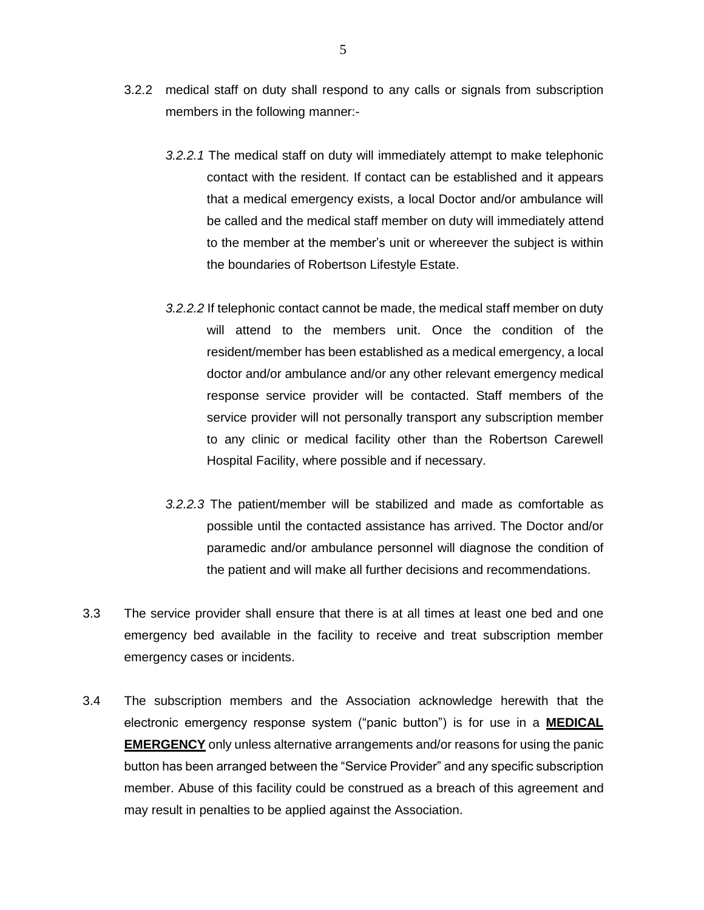- 3.2.2 medical staff on duty shall respond to any calls or signals from subscription members in the following manner:-
	- *3.2.2.1* The medical staff on duty will immediately attempt to make telephonic contact with the resident. If contact can be established and it appears that a medical emergency exists, a local Doctor and/or ambulance will be called and the medical staff member on duty will immediately attend to the member at the member's unit or whereever the subject is within the boundaries of Robertson Lifestyle Estate.
	- *3.2.2.2* If telephonic contact cannot be made, the medical staff member on duty will attend to the members unit. Once the condition of the resident/member has been established as a medical emergency, a local doctor and/or ambulance and/or any other relevant emergency medical response service provider will be contacted. Staff members of the service provider will not personally transport any subscription member to any clinic or medical facility other than the Robertson Carewell Hospital Facility, where possible and if necessary.
	- *3.2.2.3* The patient/member will be stabilized and made as comfortable as possible until the contacted assistance has arrived. The Doctor and/or paramedic and/or ambulance personnel will diagnose the condition of the patient and will make all further decisions and recommendations.
- 3.3 The service provider shall ensure that there is at all times at least one bed and one emergency bed available in the facility to receive and treat subscription member emergency cases or incidents.
- 3.4 The subscription members and the Association acknowledge herewith that the electronic emergency response system ("panic button") is for use in a **MEDICAL EMERGENCY** only unless alternative arrangements and/or reasons for using the panic button has been arranged between the "Service Provider" and any specific subscription member. Abuse of this facility could be construed as a breach of this agreement and may result in penalties to be applied against the Association.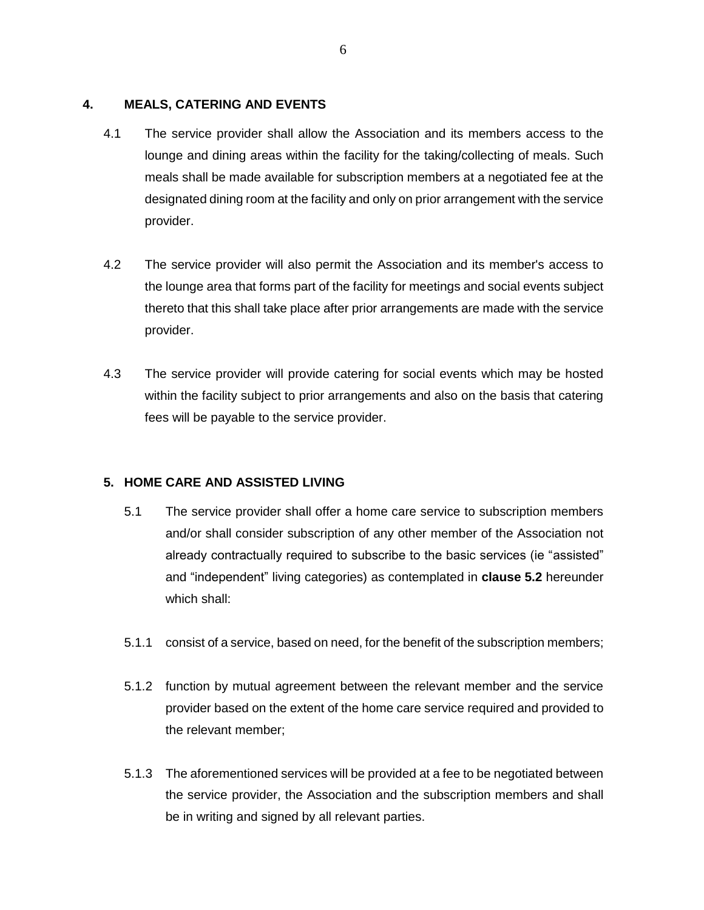### **4. MEALS, CATERING AND EVENTS**

- 4.1 The service provider shall allow the Association and its members access to the lounge and dining areas within the facility for the taking/collecting of meals. Such meals shall be made available for subscription members at a negotiated fee at the designated dining room at the facility and only on prior arrangement with the service provider.
- 4.2 The service provider will also permit the Association and its member's access to the lounge area that forms part of the facility for meetings and social events subject thereto that this shall take place after prior arrangements are made with the service provider.
- 4.3 The service provider will provide catering for social events which may be hosted within the facility subject to prior arrangements and also on the basis that catering fees will be payable to the service provider.

## **5. HOME CARE AND ASSISTED LIVING**

- 5.1 The service provider shall offer a home care service to subscription members and/or shall consider subscription of any other member of the Association not already contractually required to subscribe to the basic services (ie "assisted" and "independent" living categories) as contemplated in **clause 5.2** hereunder which shall:
- 5.1.1 consist of a service, based on need, for the benefit of the subscription members;
- 5.1.2 function by mutual agreement between the relevant member and the service provider based on the extent of the home care service required and provided to the relevant member;
- 5.1.3 The aforementioned services will be provided at a fee to be negotiated between the service provider, the Association and the subscription members and shall be in writing and signed by all relevant parties.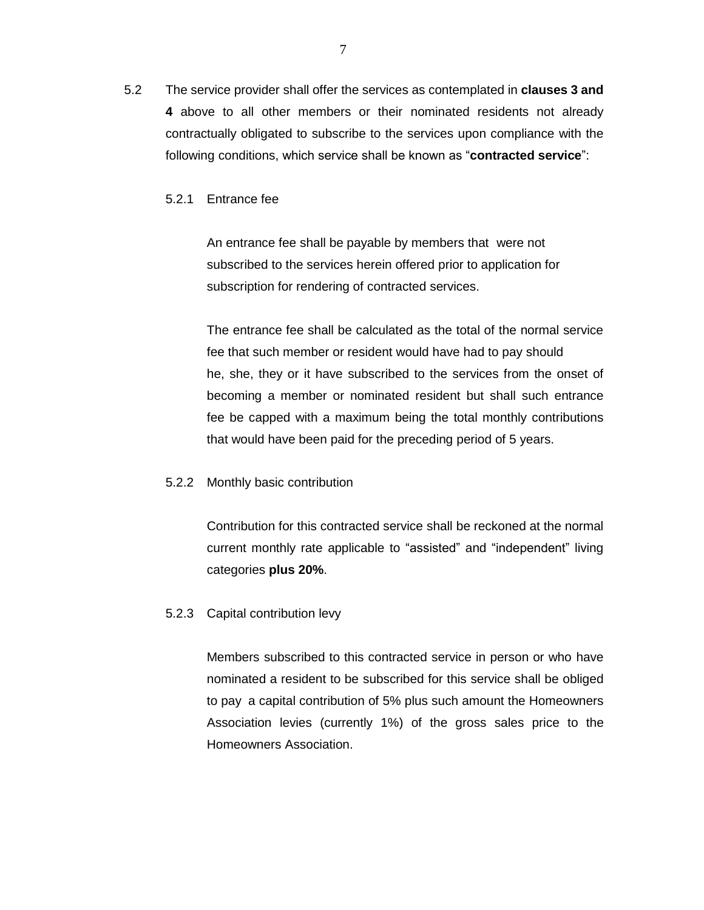5.2 The service provider shall offer the services as contemplated in **clauses 3 and 4** above to all other members or their nominated residents not already contractually obligated to subscribe to the services upon compliance with the following conditions, which service shall be known as "**contracted service**":

### 5.2.1 Entrance fee

An entrance fee shall be payable by members that were not subscribed to the services herein offered prior to application for subscription for rendering of contracted services.

The entrance fee shall be calculated as the total of the normal service fee that such member or resident would have had to pay should he, she, they or it have subscribed to the services from the onset of becoming a member or nominated resident but shall such entrance fee be capped with a maximum being the total monthly contributions that would have been paid for the preceding period of 5 years.

#### 5.2.2 Monthly basic contribution

Contribution for this contracted service shall be reckoned at the normal current monthly rate applicable to "assisted" and "independent" living categories **plus 20%**.

### 5.2.3 Capital contribution levy

Members subscribed to this contracted service in person or who have nominated a resident to be subscribed for this service shall be obliged to pay a capital contribution of 5% plus such amount the Homeowners Association levies (currently 1%) of the gross sales price to the Homeowners Association.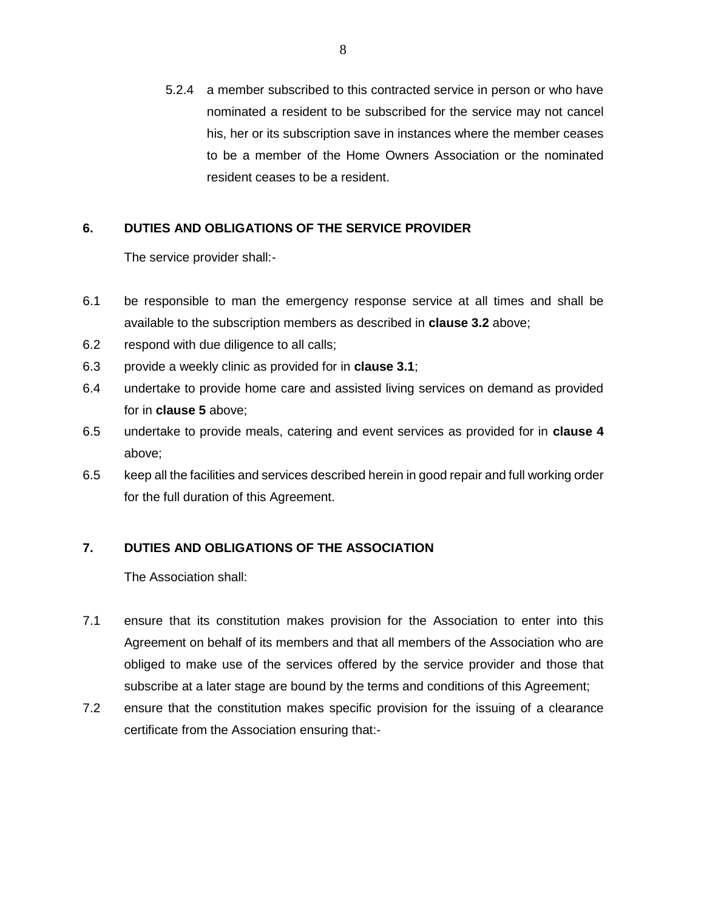5.2.4 a member subscribed to this contracted service in person or who have nominated a resident to be subscribed for the service may not cancel his, her or its subscription save in instances where the member ceases to be a member of the Home Owners Association or the nominated resident ceases to be a resident.

## **6. DUTIES AND OBLIGATIONS OF THE SERVICE PROVIDER**

The service provider shall:-

- 6.1 be responsible to man the emergency response service at all times and shall be available to the subscription members as described in **clause 3.2** above;
- 6.2 respond with due diligence to all calls;
- 6.3 provide a weekly clinic as provided for in **clause 3.1**;
- 6.4 undertake to provide home care and assisted living services on demand as provided for in **clause 5** above;
- 6.5 undertake to provide meals, catering and event services as provided for in **clause 4** above;
- 6.5 keep all the facilities and services described herein in good repair and full working order for the full duration of this Agreement.

# **7. DUTIES AND OBLIGATIONS OF THE ASSOCIATION**

The Association shall:

- 7.1 ensure that its constitution makes provision for the Association to enter into this Agreement on behalf of its members and that all members of the Association who are obliged to make use of the services offered by the service provider and those that subscribe at a later stage are bound by the terms and conditions of this Agreement;
- 7.2 ensure that the constitution makes specific provision for the issuing of a clearance certificate from the Association ensuring that:-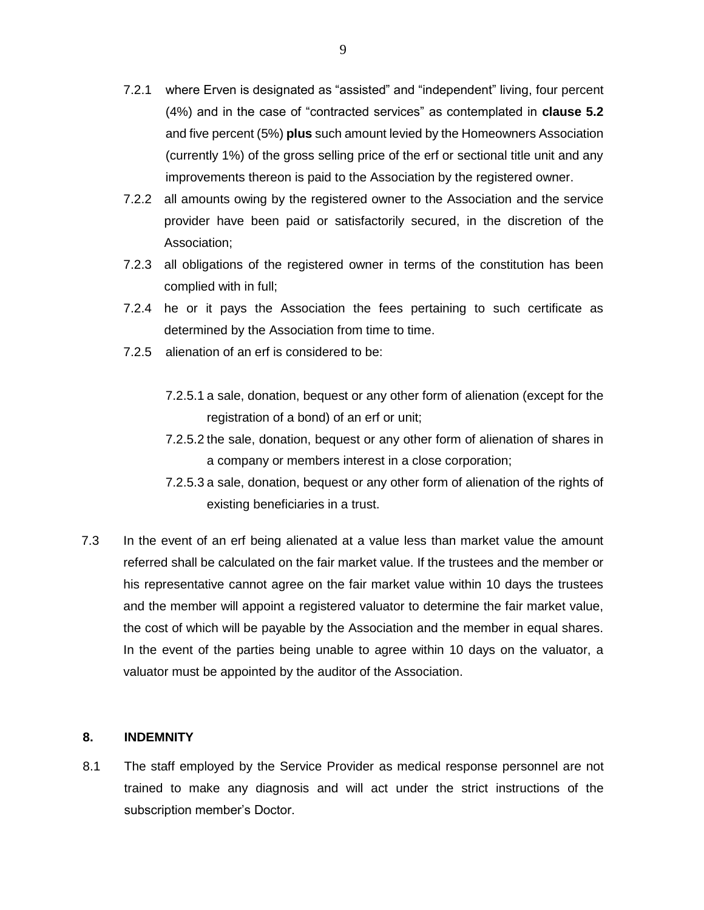- 7.2.1 where Erven is designated as "assisted" and "independent" living, four percent (4%) and in the case of "contracted services" as contemplated in **clause 5.2** and five percent (5%) **plus** such amount levied by the Homeowners Association (currently 1%) of the gross selling price of the erf or sectional title unit and any improvements thereon is paid to the Association by the registered owner.
- 7.2.2 all amounts owing by the registered owner to the Association and the service provider have been paid or satisfactorily secured, in the discretion of the Association;
- 7.2.3 all obligations of the registered owner in terms of the constitution has been complied with in full;
- 7.2.4 he or it pays the Association the fees pertaining to such certificate as determined by the Association from time to time.
- 7.2.5 alienation of an erf is considered to be:
	- 7.2.5.1 a sale, donation, bequest or any other form of alienation (except for the registration of a bond) of an erf or unit;
	- 7.2.5.2 the sale, donation, bequest or any other form of alienation of shares in a company or members interest in a close corporation;
	- 7.2.5.3 a sale, donation, bequest or any other form of alienation of the rights of existing beneficiaries in a trust.
- 7.3 In the event of an erf being alienated at a value less than market value the amount referred shall be calculated on the fair market value. If the trustees and the member or his representative cannot agree on the fair market value within 10 days the trustees and the member will appoint a registered valuator to determine the fair market value, the cost of which will be payable by the Association and the member in equal shares. In the event of the parties being unable to agree within 10 days on the valuator, a valuator must be appointed by the auditor of the Association.

### **8. INDEMNITY**

8.1 The staff employed by the Service Provider as medical response personnel are not trained to make any diagnosis and will act under the strict instructions of the subscription member's Doctor.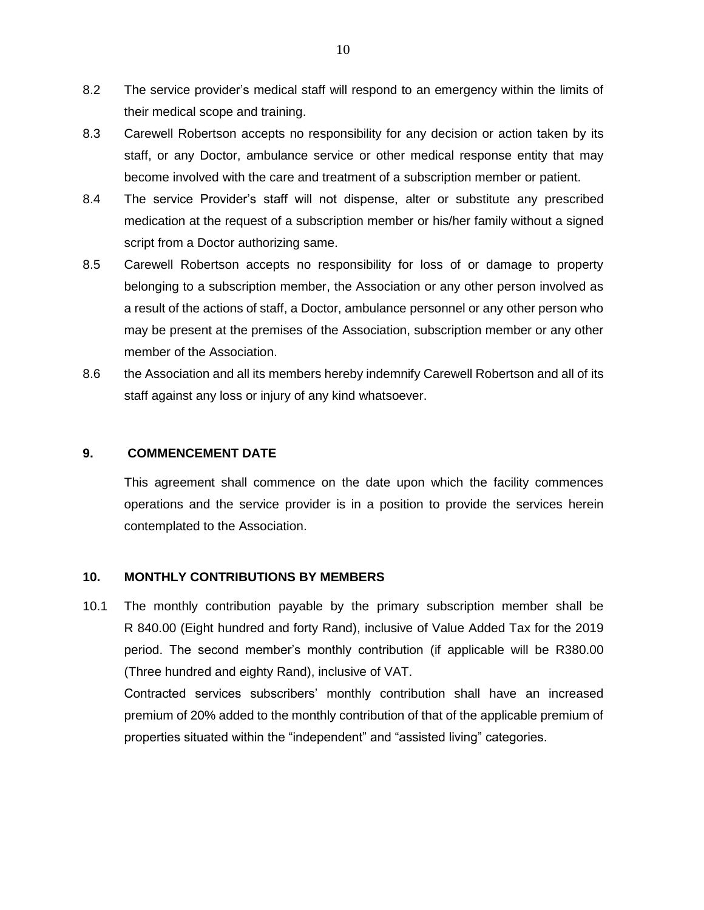- 8.2 The service provider's medical staff will respond to an emergency within the limits of their medical scope and training.
- 8.3 Carewell Robertson accepts no responsibility for any decision or action taken by its staff, or any Doctor, ambulance service or other medical response entity that may become involved with the care and treatment of a subscription member or patient.
- 8.4 The service Provider's staff will not dispense, alter or substitute any prescribed medication at the request of a subscription member or his/her family without a signed script from a Doctor authorizing same.
- 8.5 Carewell Robertson accepts no responsibility for loss of or damage to property belonging to a subscription member, the Association or any other person involved as a result of the actions of staff, a Doctor, ambulance personnel or any other person who may be present at the premises of the Association, subscription member or any other member of the Association.
- 8.6 the Association and all its members hereby indemnify Carewell Robertson and all of its staff against any loss or injury of any kind whatsoever.

### **9. COMMENCEMENT DATE**

This agreement shall commence on the date upon which the facility commences operations and the service provider is in a position to provide the services herein contemplated to the Association.

## **10. MONTHLY CONTRIBUTIONS BY MEMBERS**

10.1 The monthly contribution payable by the primary subscription member shall be R 840.00 (Eight hundred and forty Rand), inclusive of Value Added Tax for the 2019 period. The second member's monthly contribution (if applicable will be R380.00 (Three hundred and eighty Rand), inclusive of VAT.

Contracted services subscribers' monthly contribution shall have an increased premium of 20% added to the monthly contribution of that of the applicable premium of properties situated within the "independent" and "assisted living" categories.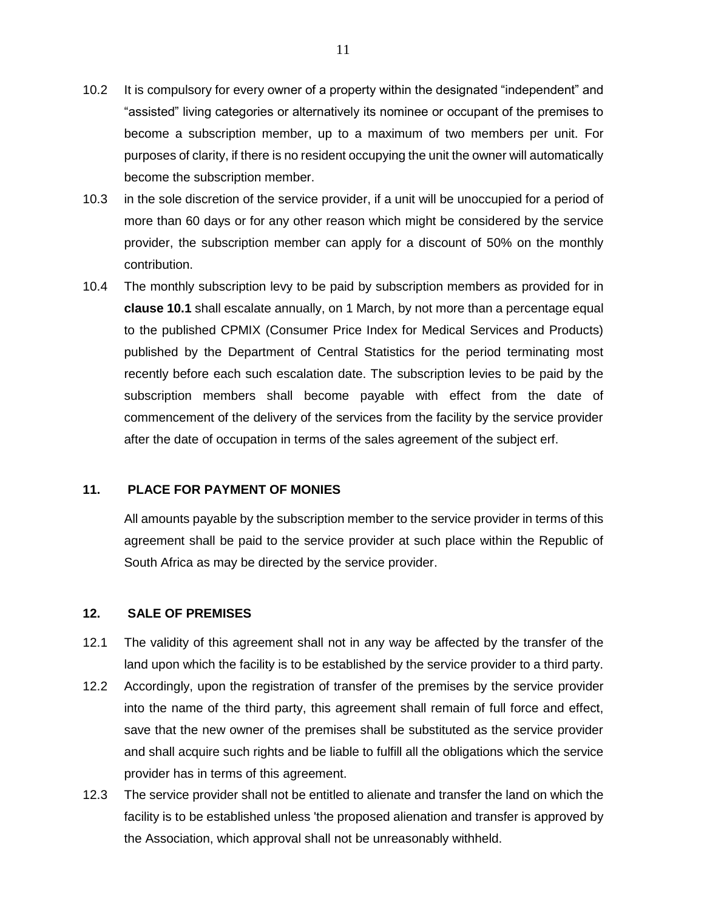- 10.2 It is compulsory for every owner of a property within the designated "independent" and "assisted" living categories or alternatively its nominee or occupant of the premises to become a subscription member, up to a maximum of two members per unit. For purposes of clarity, if there is no resident occupying the unit the owner will automatically become the subscription member.
- 10.3 in the sole discretion of the service provider, if a unit will be unoccupied for a period of more than 60 days or for any other reason which might be considered by the service provider, the subscription member can apply for a discount of 50% on the monthly contribution.
- 10.4 The monthly subscription levy to be paid by subscription members as provided for in **clause 10.1** shall escalate annually, on 1 March, by not more than a percentage equal to the published CPMIX (Consumer Price Index for Medical Services and Products) published by the Department of Central Statistics for the period terminating most recently before each such escalation date. The subscription levies to be paid by the subscription members shall become payable with effect from the date of commencement of the delivery of the services from the facility by the service provider after the date of occupation in terms of the sales agreement of the subject erf.

## **11. PLACE FOR PAYMENT OF MONIES**

All amounts payable by the subscription member to the service provider in terms of this agreement shall be paid to the service provider at such place within the Republic of South Africa as may be directed by the service provider.

### **12. SALE OF PREMISES**

- 12.1 The validity of this agreement shall not in any way be affected by the transfer of the land upon which the facility is to be established by the service provider to a third party.
- 12.2 Accordingly, upon the registration of transfer of the premises by the service provider into the name of the third party, this agreement shall remain of full force and effect, save that the new owner of the premises shall be substituted as the service provider and shall acquire such rights and be liable to fulfill all the obligations which the service provider has in terms of this agreement.
- 12.3 The service provider shall not be entitled to alienate and transfer the land on which the facility is to be established unless 'the proposed alienation and transfer is approved by the Association, which approval shall not be unreasonably withheld.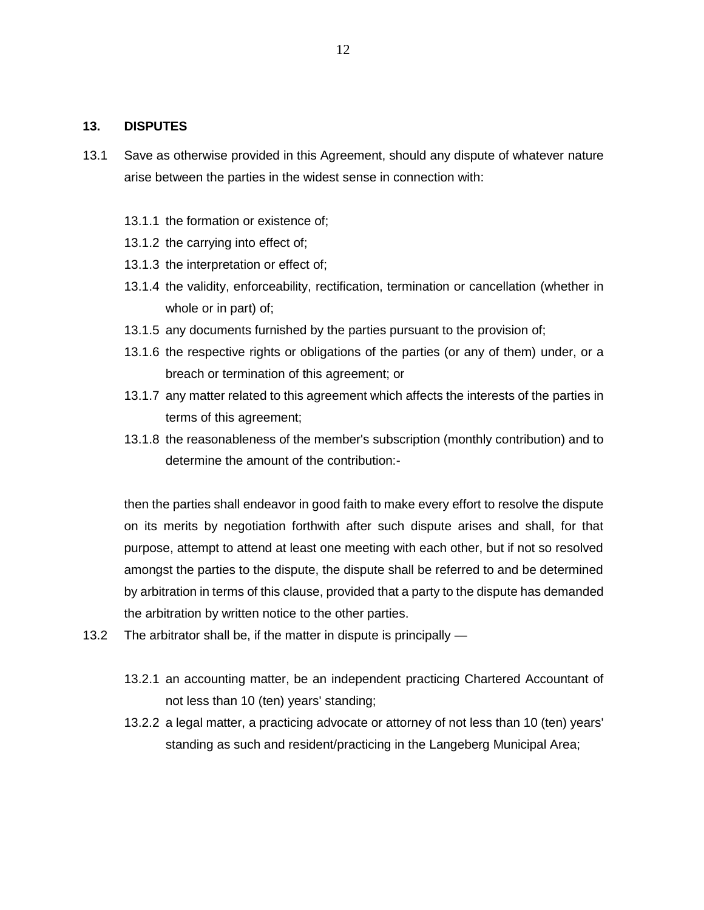### **13. DISPUTES**

- 13.1 Save as otherwise provided in this Agreement, should any dispute of whatever nature arise between the parties in the widest sense in connection with:
	- 13.1.1 the formation or existence of;
	- 13.1.2 the carrying into effect of;
	- 13.1.3 the interpretation or effect of;
	- 13.1.4 the validity, enforceability, rectification, termination or cancellation (whether in whole or in part) of;
	- 13.1.5 any documents furnished by the parties pursuant to the provision of;
	- 13.1.6 the respective rights or obligations of the parties (or any of them) under, or a breach or termination of this agreement; or
	- 13.1.7 any matter related to this agreement which affects the interests of the parties in terms of this agreement;
	- 13.1.8 the reasonableness of the member's subscription (monthly contribution) and to determine the amount of the contribution:-

then the parties shall endeavor in good faith to make every effort to resolve the dispute on its merits by negotiation forthwith after such dispute arises and shall, for that purpose, attempt to attend at least one meeting with each other, but if not so resolved amongst the parties to the dispute, the dispute shall be referred to and be determined by arbitration in terms of this clause, provided that a party to the dispute has demanded the arbitration by written notice to the other parties.

- 13.2 The arbitrator shall be, if the matter in dispute is principally
	- 13.2.1 an accounting matter, be an independent practicing Chartered Accountant of not less than 10 (ten) years' standing;
	- 13.2.2 a legal matter, a practicing advocate or attorney of not less than 10 (ten) years' standing as such and resident/practicing in the Langeberg Municipal Area;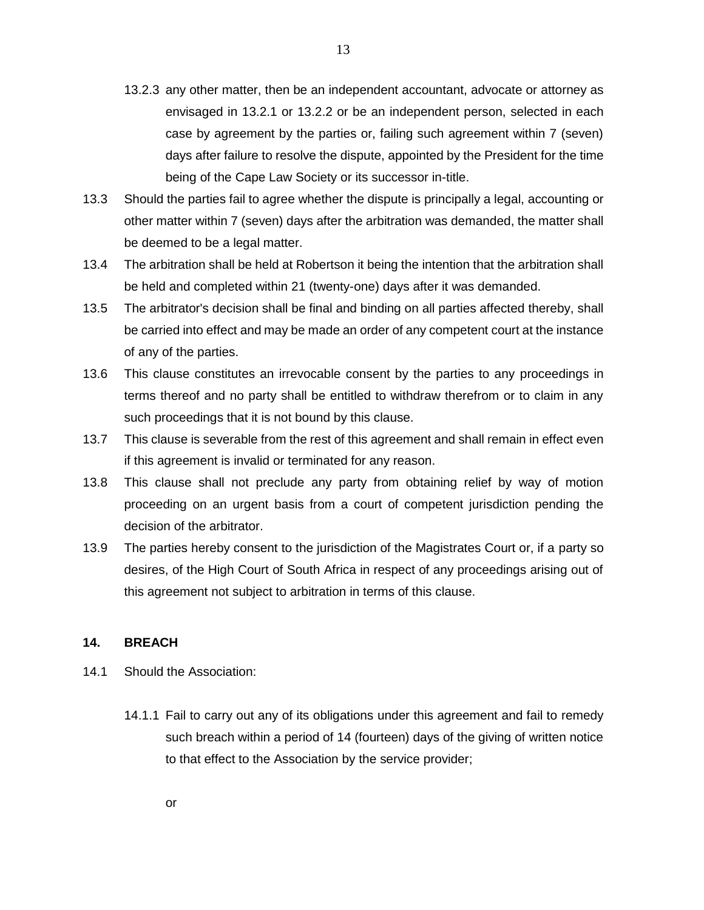- 13.2.3 any other matter, then be an independent accountant, advocate or attorney as envisaged in 13.2.1 or 13.2.2 or be an independent person, selected in each case by agreement by the parties or, failing such agreement within 7 (seven) days after failure to resolve the dispute, appointed by the President for the time being of the Cape Law Society or its successor in-title.
- 13.3 Should the parties fail to agree whether the dispute is principally a legal, accounting or other matter within 7 (seven) days after the arbitration was demanded, the matter shall be deemed to be a legal matter.
- 13.4 The arbitration shall be held at Robertson it being the intention that the arbitration shall be held and completed within 21 (twenty-one) days after it was demanded.
- 13.5 The arbitrator's decision shall be final and binding on all parties affected thereby, shall be carried into effect and may be made an order of any competent court at the instance of any of the parties.
- 13.6 This clause constitutes an irrevocable consent by the parties to any proceedings in terms thereof and no party shall be entitled to withdraw therefrom or to claim in any such proceedings that it is not bound by this clause.
- 13.7 This clause is severable from the rest of this agreement and shall remain in effect even if this agreement is invalid or terminated for any reason.
- 13.8 This clause shall not preclude any party from obtaining relief by way of motion proceeding on an urgent basis from a court of competent jurisdiction pending the decision of the arbitrator.
- 13.9 The parties hereby consent to the jurisdiction of the Magistrates Court or, if a party so desires, of the High Court of South Africa in respect of any proceedings arising out of this agreement not subject to arbitration in terms of this clause.

### **14. BREACH**

- 14.1 Should the Association:
	- 14.1.1 Fail to carry out any of its obligations under this agreement and fail to remedy such breach within a period of 14 (fourteen) days of the giving of written notice to that effect to the Association by the service provider;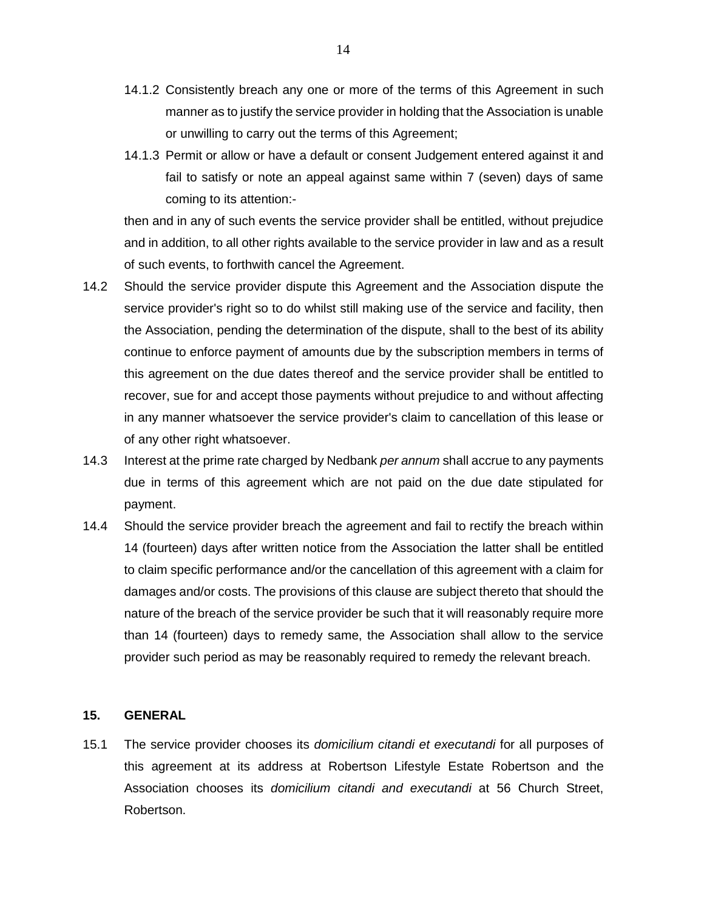- 14.1.2 Consistently breach any one or more of the terms of this Agreement in such manner as to justify the service provider in holding that the Association is unable or unwilling to carry out the terms of this Agreement;
- 14.1.3 Permit or allow or have a default or consent Judgement entered against it and fail to satisfy or note an appeal against same within 7 (seven) days of same coming to its attention:-

then and in any of such events the service provider shall be entitled, without prejudice and in addition, to all other rights available to the service provider in law and as a result of such events, to forthwith cancel the Agreement.

- 14.2 Should the service provider dispute this Agreement and the Association dispute the service provider's right so to do whilst still making use of the service and facility, then the Association, pending the determination of the dispute, shall to the best of its ability continue to enforce payment of amounts due by the subscription members in terms of this agreement on the due dates thereof and the service provider shall be entitled to recover, sue for and accept those payments without prejudice to and without affecting in any manner whatsoever the service provider's claim to cancellation of this lease or of any other right whatsoever.
- 14.3 Interest at the prime rate charged by Nedbank *per annum* shall accrue to any payments due in terms of this agreement which are not paid on the due date stipulated for payment.
- 14.4 Should the service provider breach the agreement and fail to rectify the breach within 14 (fourteen) days after written notice from the Association the latter shall be entitled to claim specific performance and/or the cancellation of this agreement with a claim for damages and/or costs. The provisions of this clause are subject thereto that should the nature of the breach of the service provider be such that it will reasonably require more than 14 (fourteen) days to remedy same, the Association shall allow to the service provider such period as may be reasonably required to remedy the relevant breach.

### **15. GENERAL**

15.1 The service provider chooses its *domicilium citandi et executandi* for all purposes of this agreement at its address at Robertson Lifestyle Estate Robertson and the Association chooses its *domicilium citandi and executandi* at 56 Church Street, Robertson.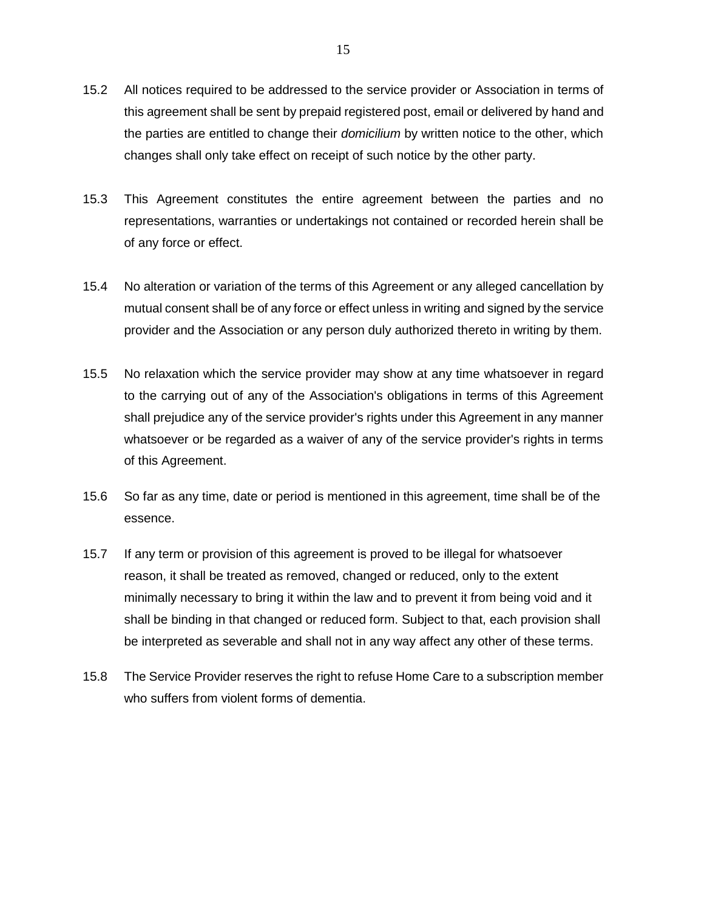- 15.2 All notices required to be addressed to the service provider or Association in terms of this agreement shall be sent by prepaid registered post, email or delivered by hand and the parties are entitled to change their *domicilium* by written notice to the other, which changes shall only take effect on receipt of such notice by the other party.
- 15.3 This Agreement constitutes the entire agreement between the parties and no representations, warranties or undertakings not contained or recorded herein shall be of any force or effect.
- 15.4 No alteration or variation of the terms of this Agreement or any alleged cancellation by mutual consent shall be of any force or effect unless in writing and signed by the service provider and the Association or any person duly authorized thereto in writing by them.
- 15.5 No relaxation which the service provider may show at any time whatsoever in regard to the carrying out of any of the Association's obligations in terms of this Agreement shall prejudice any of the service provider's rights under this Agreement in any manner whatsoever or be regarded as a waiver of any of the service provider's rights in terms of this Agreement.
- 15.6 So far as any time, date or period is mentioned in this agreement, time shall be of the essence.
- 15.7 If any term or provision of this agreement is proved to be illegal for whatsoever reason, it shall be treated as removed, changed or reduced, only to the extent minimally necessary to bring it within the law and to prevent it from being void and it shall be binding in that changed or reduced form. Subject to that, each provision shall be interpreted as severable and shall not in any way affect any other of these terms.
- 15.8 The Service Provider reserves the right to refuse Home Care to a subscription member who suffers from violent forms of dementia.